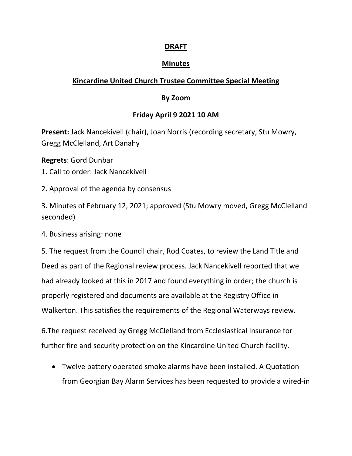### **DRAFT**

#### **Minutes**

# **Kincardine United Church Trustee Committee Special Meeting**

### **By Zoom**

## **Friday April 9 2021 10 AM**

**Present:** Jack Nancekivell (chair), Joan Norris (recording secretary, Stu Mowry, Gregg McClelland, Art Danahy

**Regrets**: Gord Dunbar

- 1. Call to order: Jack Nancekivell
- 2. Approval of the agenda by consensus

3. Minutes of February 12, 2021; approved (Stu Mowry moved, Gregg McClelland seconded)

4. Business arising: none

5. The request from the Council chair, Rod Coates, to review the Land Title and Deed as part of the Regional review process. Jack Nancekivell reported that we had already looked at this in 2017 and found everything in order; the church is properly registered and documents are available at the Registry Office in Walkerton. This satisfies the requirements of the Regional Waterways review.

6.The request received by Gregg McClelland from Ecclesiastical Insurance for further fire and security protection on the Kincardine United Church facility.

 Twelve battery operated smoke alarms have been installed. A Quotation from Georgian Bay Alarm Services has been requested to provide a wired-in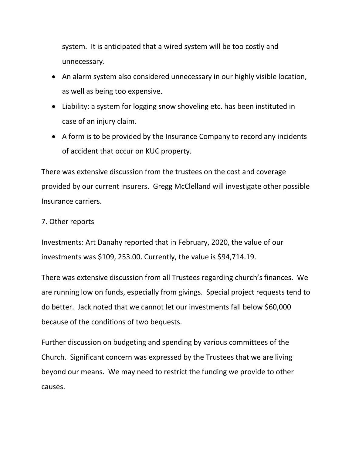system. It is anticipated that a wired system will be too costly and unnecessary.

- An alarm system also considered unnecessary in our highly visible location, as well as being too expensive.
- Liability: a system for logging snow shoveling etc. has been instituted in case of an injury claim.
- A form is to be provided by the Insurance Company to record any incidents of accident that occur on KUC property.

There was extensive discussion from the trustees on the cost and coverage provided by our current insurers. Gregg McClelland will investigate other possible Insurance carriers.

#### 7. Other reports

Investments: Art Danahy reported that in February, 2020, the value of our investments was \$109, 253.00. Currently, the value is \$94,714.19.

There was extensive discussion from all Trustees regarding church's finances. We are running low on funds, especially from givings. Special project requests tend to do better. Jack noted that we cannot let our investments fall below \$60,000 because of the conditions of two bequests.

Further discussion on budgeting and spending by various committees of the Church. Significant concern was expressed by the Trustees that we are living beyond our means. We may need to restrict the funding we provide to other causes.